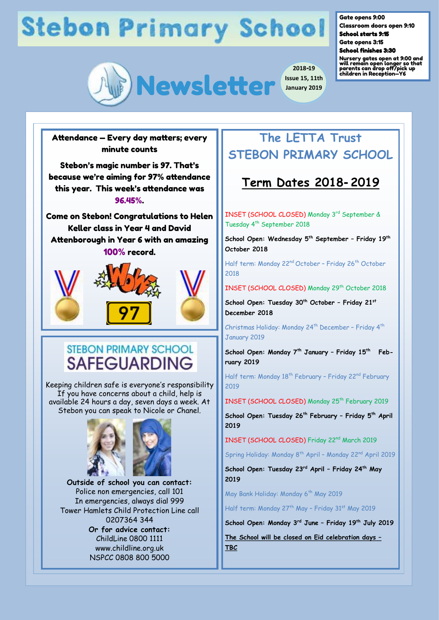

**2018-19 Issue 15, 11th January 2019** Gate opens 9:00

Classroom doors open 9:10 School starts 9:15

Gate opens 3:15

School finishes 3:30

Nursery gates open at 9:00 and will remain open longer so that parents can drop off/pick up children in Reception—Y6

Attendance — Every day matters; every minute counts

Stebon's magic number is 97. That's because we're aiming for 97% attendance this year. This week's attendance was 96.45%.

Come on Stebon! Congratulations to Helen Keller class in Year 4 and David Attenborough in Year 6 with an amazing 100% record.



## **STEBON PRIMARY SCHOOL SAFEGUARDING**

Keeping children safe is everyone's responsibility If you have concerns about a child, help is available 24 hours a day, seven days a week. At Stebon you can speak to Nicole or Chanel.



**Outside of school you can contact:**  Police non emergencies, call 101 In emergencies, always dial 999 Tower Hamlets Child Protection Line call 0207364 344 **Or for advice contact:** ChildLine 0800 1111 www.childline.org.uk NSPCC 0808 800 5000

## **The LETTA Trust STEBON PRIMARY SCHOOL**

## **Term Dates 2018-2019**

INSET (SCHOOL CLOSED) Monday 3rd September & Tuesday 4<sup>th</sup> September 2018

**School Open: Wednesday 5th September – Friday 19th October 2018** 

Half term: Monday 22<sup>nd</sup> October - Friday 26<sup>th</sup> October 2018

INSET (SCHOOL CLOSED) Monday 29th October 2018

**School Open: Tuesday 30th October – Friday 21st December 2018** 

Christmas Holiday: Monday 24<sup>th</sup> December - Friday 4<sup>th</sup> January 2019

**School Open: Monday 7th January – Friday 15th February 2019**

Half term: Monday 18<sup>th</sup> February - Friday 22<sup>nd</sup> February 2019

INSET (SCHOOL CLOSED) Monday 25<sup>th</sup> February 2019

**School Open: Tuesday 26th February – Friday 5th April 2019**

INSET (SCHOOL CLOSED) Friday 22nd March 2019

Spring Holiday: Monday 8<sup>th</sup> April - Monday 22<sup>nd</sup> April 2019

**School Open: Tuesday 23rd April – Friday 24th May 2019**

May Bank Holiday: Monday 6<sup>th</sup> May 2019

Half term: Monday 27<sup>th</sup> May - Friday 31<sup>st</sup> May 2019

**School Open: Monday 3rd June – Friday 19th July 2019**

**The School will be closed on Eid celebration days – TBC**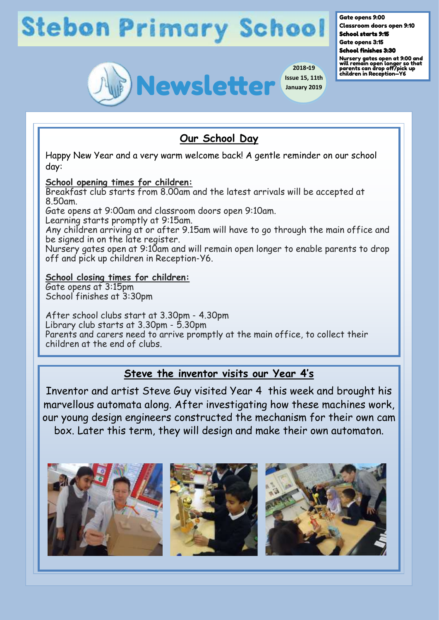

#### Gate opens 9:00

Classroom doors open 9:10 School starts 9:15

Gate opens 3:15 School finishes 3:30

Nursery gates open at 9:00 and will remain open longer so that parents can drop off/pick up children in Reception—Y6

### **Our School Day**

Happy New Year and a very warm welcome back! A gentle reminder on our school day:

### **School opening times for children:**

Breakfast club starts from 8.00am and the latest arrivals will be accepted at 8.50am.

Gate opens at 9:00am and classroom doors open 9:10am.

Learning starts promptly at 9:15am.

Any children arriving at or after 9.15am will have to go through the main office and be signed in on the late register.

Nursery gates open at 9:10am and will remain open longer to enable parents to drop off and pick up children in Reception-Y6.

### **School closing times for children:**

Gate opens at 3:15pm School finishes at 3:30pm

After school clubs start at 3.30pm - 4.30pm Library club starts at 3.30pm - 5.30pm Parents and carers need to arrive promptly at the main office, to collect their children at the end of clubs.

### **Steve the inventor visits our Year 4's**

Inventor and artist Steve Guy visited Year 4 this week and brought his marvellous automata along. After investigating how these machines work, our young design engineers constructed the mechanism for their own cam box. Later this term, they will design and make their own automaton.

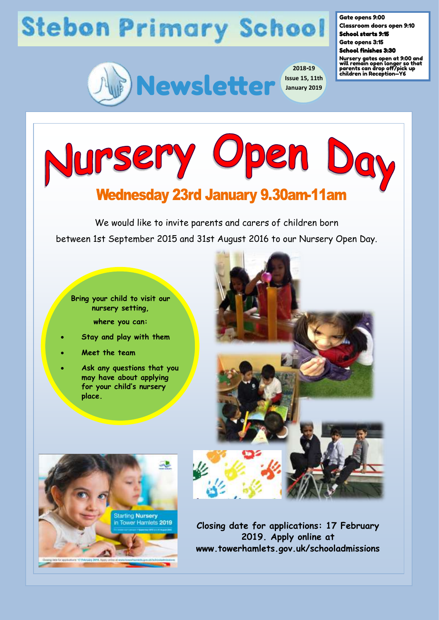

Gate opens 9:00

Classroom doors open 9:10 School starts 9:15

Gate opens 3:15

School finishes 3:30

Nursery gates open at 9:00 and will remain open longer so that parents can drop off/pick up children in Reception—Y6



## **Wednesday 23rd January 9.30am-11am**

We would like to invite parents and carers of children born between 1st September 2015 and 31st August 2016 to our Nursery Open Day.

- **Bring your child to visit our nursery setting, where you can:**
- **Stay and play with them**
- **Meet the team**
- **Ask any questions that you may have about applying for your child's nursery place.**





**Closing date for applications: 17 February 2019. Apply online at www.towerhamlets.gov.uk/schooladmissions**